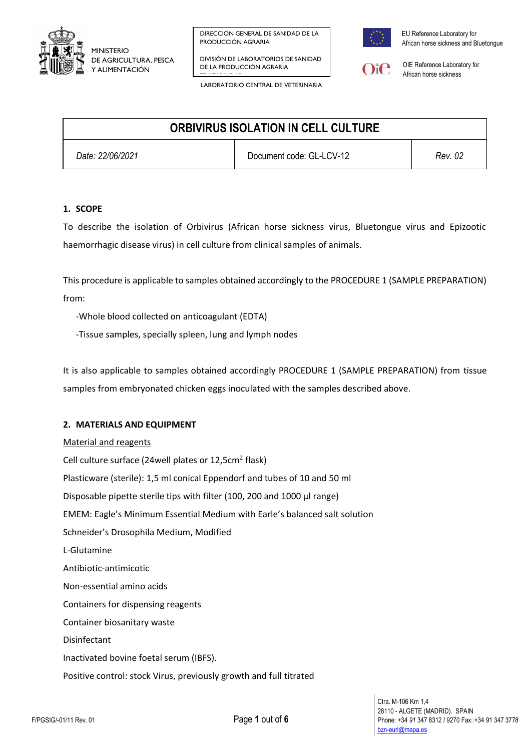

LABORATORIO CENTRAL DE VETERINARIA

DIVISIÓN DE LABORATORIOS DE SANIDAD DE LA PRODUCCIÓN AGRARIA TRAZABILIDADE EN 1989.<br>TRAZABILIDADE EN 1989, ESPAINA



EU Reference Laboratory for African horse sickness and Bluetongue



OIE Reference Laboratory for African horse sickness

| <b>ORBIVIRUS ISOLATION IN CELL CULTURE</b> |                          |         |
|--------------------------------------------|--------------------------|---------|
| Date: 22/06/2021                           | Document code: GL-LCV-12 | Rev. 02 |

### **1. SCOPE**

To describe the isolation of Orbivirus (African horse sickness virus, Bluetongue virus and Epizootic haemorrhagic disease virus) in cell culture from clinical samples of animals.

This procedure is applicable to samples obtained accordingly to the PROCEDURE 1 (SAMPLE PREPARATION) from:

-Whole blood collected on anticoagulant (EDTA)

-Tissue samples, specially spleen, lung and lymph nodes

It is also applicable to samples obtained accordingly PROCEDURE 1 (SAMPLE PREPARATION) from tissue samples from embryonated chicken eggs inoculated with the samples described above.

### **2. MATERIALS AND EQUIPMENT**

Material and reagents Cell culture surface (24well plates or 12,5cm<sup>2</sup> flask) Plasticware (sterile): 1,5 ml conical Eppendorf and tubes of 10 and 50 ml Disposable pipette sterile tips with filter (100, 200 and 1000 μl range) EMEM: Eagle's Minimum Essential Medium with Earle's balanced salt solution Schneider's Drosophila Medium, Modified L-Glutamine Antibiotic-antimicotic Non-essential amino acids Containers for dispensing reagents Container biosanitary waste Disinfectant Inactivated bovine foetal serum (IBFS). Positive control: stock Virus, previously growth and full titrated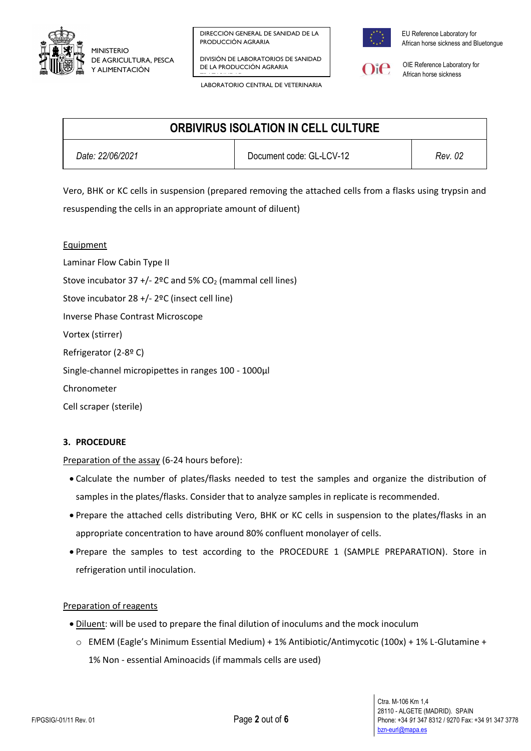

DIVISIÓN DE LABORATORIOS DE SANIDAD DE LA PRODUCCIÓN AGRARIA TRAZABILIDADE EN 1989.<br>TRAZABILIDADE EN 1989, ESPAINA

LABORATORIO CENTRAL DE VETERINARIA



EU Reference Laboratory for African horse sickness and Bluetongue



OIE Reference Laboratory for African horse sickness

| <b>ORBIVIRUS ISOLATION IN CELL CULTURE</b> |                          |         |
|--------------------------------------------|--------------------------|---------|
| Date: 22/06/2021                           | Document code: GL-LCV-12 | Rev. 02 |

Vero, BHK or KC cells in suspension (prepared removing the attached cells from a flasks using trypsin and resuspending the cells in an appropriate amount of diluent)

**Equipment** Laminar Flow Cabin Type II Stove incubator 37 +/- 2ºC and 5%  $CO<sub>2</sub>$  (mammal cell lines) Stove incubator 28 +/- 2ºC (insect cell line) Inverse Phase Contrast Microscope Vortex (stirrer) Refrigerator (2-8º C) Single-channel micropipettes in ranges 100 - 1000μl Chronometer Cell scraper (sterile)

## **3. PROCEDURE**

Preparation of the assay (6-24 hours before):

- Calculate the number of plates/flasks needed to test the samples and organize the distribution of samples in the plates/flasks. Consider that to analyze samples in replicate is recommended.
- Prepare the attached cells distributing Vero, BHK or KC cells in suspension to the plates/flasks in an appropriate concentration to have around 80% confluent monolayer of cells.
- Prepare the samples to test according to the PROCEDURE 1 (SAMPLE PREPARATION). Store in refrigeration until inoculation.

#### Preparation of reagents

- $\bullet$  Diluent: will be used to prepare the final dilution of inoculums and the mock inoculum
	- o EMEM (Eagle's Minimum Essential Medium) + 1% Antibiotic/Antimycotic (100x) + 1% L-Glutamine + 1% Non - essential Aminoacids (if mammals cells are used)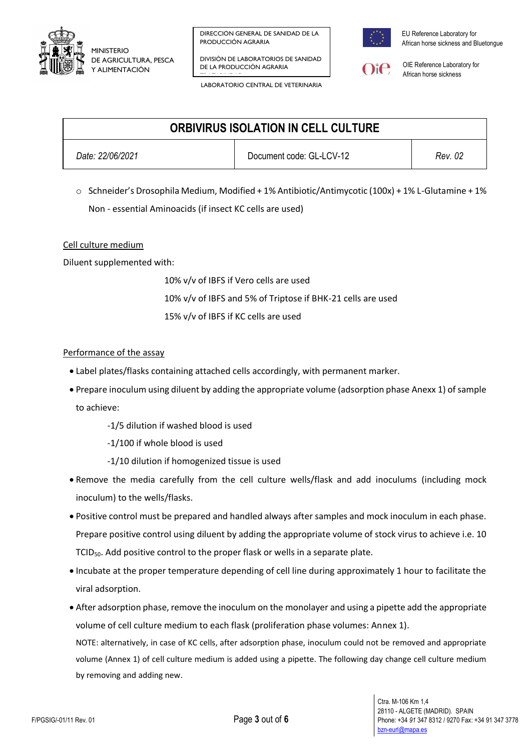

DIVISIÓN DE LABORATORIOS DE SANIDAD DE LA PRODUCCIÓN AGRARIA TRAZABILIDADE EN 1989.<br>TRAZABILIDADE EN 1989, ESPAINA

LABORATORIO CENTRAL DE VETERINARIA



EU Reference Laboratory for African horse sickness and Bluetongue



OIE Reference Laboratory for African horse sickness

| <b>ORBIVIRUS ISOLATION IN CELL CULTURE</b> |                          |         |
|--------------------------------------------|--------------------------|---------|
| Date: 22/06/2021                           | Document code: GL-LCV-12 | Rev. 02 |

 $\circ$  Schneider's Drosophila Medium, Modified + 1% Antibiotic/Antimycotic (100x) + 1% L-Glutamine + 1% Non - essential Aminoacids (if insect KC cells are used)

### Cell culture medium

Diluent supplemented with:

10% v/v of IBFS if Vero cells are used 10% v/v of IBFS and 5% of Triptose if BHK-21 cells are used 15% v/v of IBFS if KC cells are used

### Performance of the assay

- Label plates/flasks containing attached cells accordingly, with permanent marker.
- Prepare inoculum using diluent by adding the appropriate volume (adsorption phase Anexx 1) of sample to achieve:
	- -1/5 dilution if washed blood is used
	- -1/100 if whole blood is used
	- -1/10 dilution if homogenized tissue is used
- Remove the media carefully from the cell culture wells/flask and add inoculums (including mock inoculum) to the wells/flasks.
- Positive control must be prepared and handled always after samples and mock inoculum in each phase. Prepare positive control using diluent by adding the appropriate volume of stock virus to achieve i.e. 10 TCID<sub>50</sub>. Add positive control to the proper flask or wells in a separate plate.
- Incubate at the proper temperature depending of cell line during approximately 1 hour to facilitate the viral adsorption.
- After adsorption phase, remove the inoculum on the monolayer and using a pipette add the appropriate volume of cell culture medium to each flask (proliferation phase volumes: Annex 1).

NOTE: alternatively, in case of KC cells, after adsorption phase, inoculum could not be removed and appropriate volume (Annex 1) of cell culture medium is added using a pipette. The following day change cell culture medium by removing and adding new.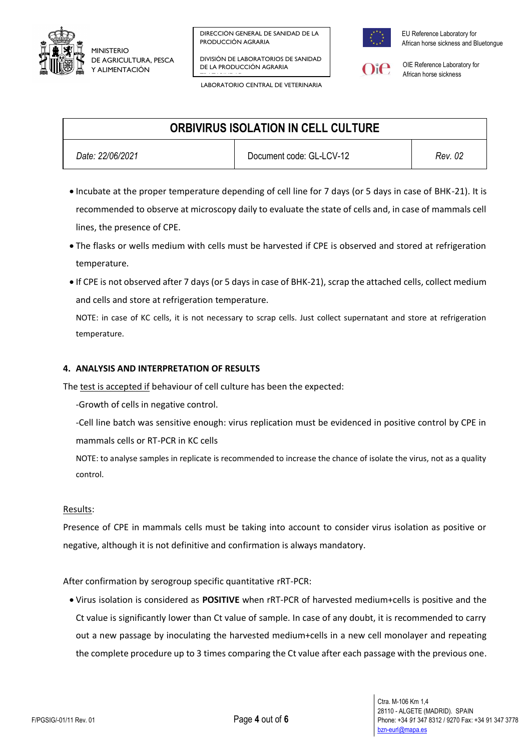

DIVISIÓN DE LABORATORIOS DE SANIDAD DE LA PRODUCCIÓN AGRARIA TRAZABILIDADE EN 1989.<br>TRAZABILIDADE EN 1989, ESPAINA



EU Reference Laboratory for African horse sickness and Bluetongue



OIE Reference Laboratory for African horse sickness

LABORATORIO CENTRAL DE VETERINARIA

# **ORBIVIRUS ISOLATION IN CELL CULTURE**

*Date: 22/06/2021* Document code: GL-LCV-12 *Rev. 02*

- Incubate at the proper temperature depending of cell line for 7 days (or 5 days in case of BHK-21). It is recommended to observe at microscopy daily to evaluate the state of cells and, in case of mammals cell lines, the presence of CPE.
- The flasks or wells medium with cells must be harvested if CPE is observed and stored at refrigeration temperature.
- If CPE is not observed after 7 days (or 5 days in case of BHK-21), scrap the attached cells, collect medium and cells and store at refrigeration temperature.

NOTE: in case of KC cells, it is not necessary to scrap cells. Just collect supernatant and store at refrigeration temperature.

## **4. ANALYSIS AND INTERPRETATION OF RESULTS**

The test is accepted if behaviour of cell culture has been the expected:

- -Growth of cells in negative control.
- -Cell line batch was sensitive enough: virus replication must be evidenced in positive control by CPE in mammals cells or RT-PCR in KC cells
- NOTE: to analyse samples in replicate is recommended to increase the chance of isolate the virus, not as a quality control.

## Results:

Presence of CPE in mammals cells must be taking into account to consider virus isolation as positive or negative, although it is not definitive and confirmation is always mandatory.

# After confirmation by serogroup specific quantitative rRT-PCR:

 Virus isolation is considered as **POSITIVE** when rRT-PCR of harvested medium+cells is positive and the Ct value is significantly lower than Ct value of sample. In case of any doubt, it is recommended to carry out a new passage by inoculating the harvested medium+cells in a new cell monolayer and repeating the complete procedure up to 3 times comparing the Ct value after each passage with the previous one.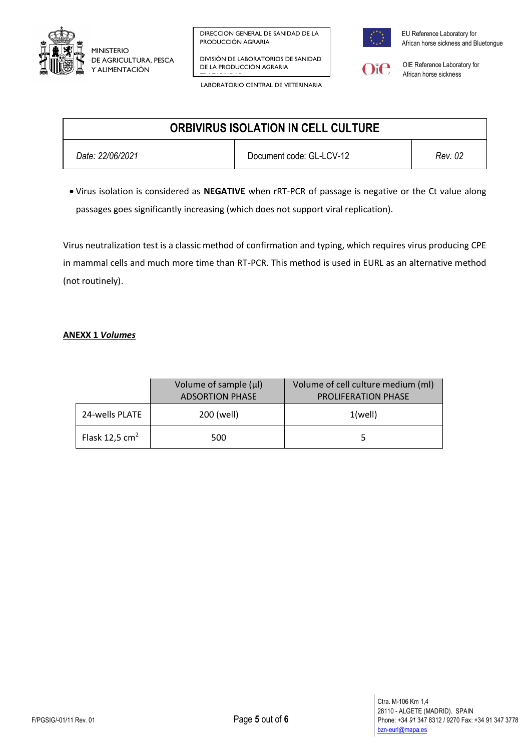

LABORATORIO CENTRAL DE VETERINARIA

DIVISIÓN DE LABORATORIOS DE SANIDAD DE LA PRODUCCIÓN AGRARIA TRAZABILIDADE EN 1989.<br>TRAZABILIDADE EN 1989, ESPAINA



EU Reference Laboratory for African horse sickness and Bluetongue



OIE Reference Laboratory for African horse sickness

| <b>ORBIVIRUS ISOLATION IN CELL CULTURE</b> |                          |         |
|--------------------------------------------|--------------------------|---------|
| Date: 22/06/2021                           | Document code: GL-LCV-12 | Rev. 02 |

 Virus isolation is considered as **NEGATIVE** when rRT-PCR of passage is negative or the Ct value along passages goes significantly increasing (which does not support viral replication).

Virus neutralization test is a classic method of confirmation and typing, which requires virus producing CPE in mammal cells and much more time than RT-PCR. This method is used in EURL as an alternative method (not routinely).

## **ANEXX 1** *Volumes*

|                  | Volume of sample $(\mu I)$<br><b>ADSORTION PHASE</b> | Volume of cell culture medium (ml)<br><b>PROLIFERATION PHASE</b> |  |
|------------------|------------------------------------------------------|------------------------------------------------------------------|--|
| 24-wells PLATE   | 200 (well)                                           | $1$ (well)                                                       |  |
| Flask 12,5 $cm2$ | 500                                                  |                                                                  |  |